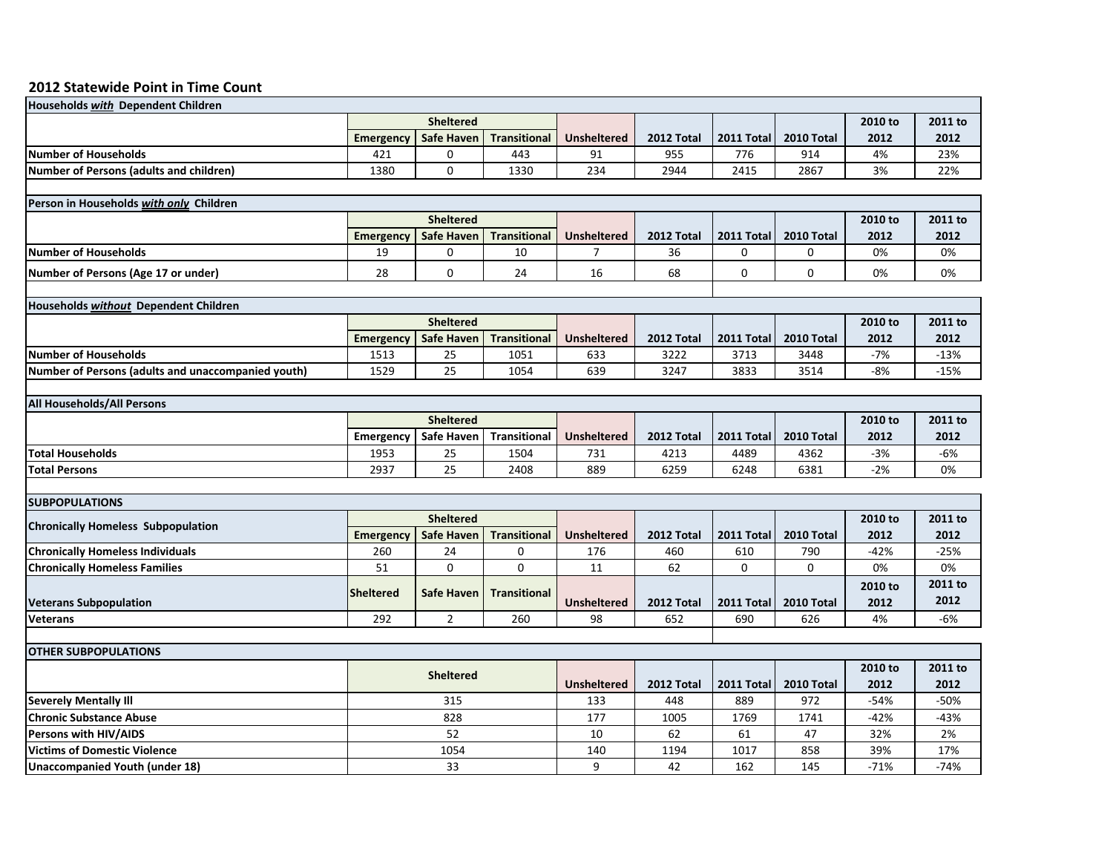## **2012 Statewide Point in Time Count**

| <b>Households with Dependent Children</b>          |                  |                   |                     |                    |            |             |            |         |         |
|----------------------------------------------------|------------------|-------------------|---------------------|--------------------|------------|-------------|------------|---------|---------|
|                                                    | <b>Sheltered</b> |                   |                     |                    |            |             |            | 2010 to | 2011 to |
|                                                    | <b>Emergency</b> | <b>Safe Haven</b> | <b>Transitional</b> | <b>Unsheltered</b> | 2012 Total | 2011 Total  | 2010 Total | 2012    | 2012    |
| <b>Number of Households</b>                        | 421              | 0                 | 443                 | 91                 | 955        | 776         | 914        | 4%      | 23%     |
| <b>Number of Persons (adults and children)</b>     | 1380             | 0                 | 1330                | 234                | 2944       | 2415        | 2867       | 3%      | 22%     |
|                                                    |                  |                   |                     |                    |            |             |            |         |         |
| Person in Households with only Children            |                  |                   |                     |                    |            |             |            |         |         |
|                                                    | <b>Sheltered</b> |                   |                     |                    |            |             |            | 2010 to | 2011 to |
|                                                    | <b>Emergency</b> | <b>Safe Haven</b> | <b>Transitional</b> | <b>Unsheltered</b> | 2012 Total | 2011 Total  | 2010 Total | 2012    | 2012    |
| <b>Number of Households</b>                        | 19               | 0                 | 10                  | $\overline{7}$     | 36         | $\mathbf 0$ | 0          | 0%      | 0%      |
| Number of Persons (Age 17 or under)                | 28               | 0                 | 24                  | 16                 | 68         | $\mathbf 0$ | 0          | 0%      | 0%      |
|                                                    |                  |                   |                     |                    |            |             |            |         |         |
| <b>Households without Dependent Children</b>       |                  |                   |                     |                    |            |             |            |         |         |
|                                                    | <b>Sheltered</b> |                   |                     |                    |            |             |            | 2010 to | 2011 to |
|                                                    | <b>Emergency</b> | <b>Safe Haven</b> | <b>Transitional</b> | <b>Unsheltered</b> | 2012 Total | 2011 Total  | 2010 Total | 2012    | 2012    |
| <b>Number of Households</b>                        | 1513             | 25                | 1051                | 633                | 3222       | 3713        | 3448       | -7%     | $-13%$  |
| Number of Persons (adults and unaccompanied youth) | 1529             | 25                | 1054                | 639                | 3247       | 3833        | 3514       | $-8%$   | $-15%$  |
|                                                    |                  |                   |                     |                    |            |             |            |         |         |
| <b>All Households/All Persons</b>                  |                  |                   |                     |                    |            |             |            |         |         |
|                                                    | <b>Sheltered</b> |                   |                     |                    |            |             |            | 2010 to | 2011 to |
|                                                    | <b>Emergency</b> | Safe Haven        | <b>Transitional</b> | <b>Unsheltered</b> | 2012 Total | 2011 Total  | 2010 Total | 2012    | 2012    |
| <b>Total Households</b>                            | 1953             | 25                | 1504                | 731                | 4213       | 4489        | 4362       | -3%     | -6%     |
| <b>Total Persons</b>                               | 2937             | 25                | 2408                | 889                | 6259       | 6248        | 6381       | -2%     | 0%      |
|                                                    |                  |                   |                     |                    |            |             |            |         |         |
| <b>SUBPOPULATIONS</b>                              |                  |                   |                     |                    |            |             |            |         |         |
| <b>Chronically Homeless Subpopulation</b>          | <b>Sheltered</b> |                   |                     |                    |            |             |            | 2010 to | 2011 to |
|                                                    | <b>Emergency</b> | <b>Safe Haven</b> | <b>Transitional</b> | <b>Unsheltered</b> | 2012 Total | 2011 Total  | 2010 Total | 2012    | 2012    |
| <b>Chronically Homeless Individuals</b>            | 260              | 24                | 0                   | 176                | 460        | 610         | 790        | $-42%$  | $-25%$  |
| <b>Chronically Homeless Families</b>               | 51               | 0                 | $\mathbf 0$         | 11                 | 62         | $\mathbf 0$ | 0          | 0%      | 0%      |
|                                                    | Sheltered        | <b>Safe Haven</b> | <b>Transitional</b> |                    |            |             |            | 2010 to | 2011 to |
| <b>Veterans Subpopulation</b>                      |                  |                   |                     | <b>Unsheltered</b> | 2012 Total | 2011 Total  | 2010 Total | 2012    | 2012    |
| <b>Veterans</b>                                    | 292              | $\overline{2}$    | 260                 | 98                 | 652        | 690         | 626        | 4%      | $-6%$   |
|                                                    |                  |                   |                     |                    |            |             |            |         |         |
| <b>OTHER SUBPOPULATIONS</b>                        |                  |                   |                     |                    |            |             |            |         |         |
|                                                    | <b>Sheltered</b> |                   |                     |                    |            |             |            | 2010 to | 2011 to |
|                                                    |                  |                   |                     | <b>Unsheltered</b> | 2012 Total | 2011 Total  | 2010 Total | 2012    | 2012    |
| <b>Severely Mentally III</b>                       | 315              |                   |                     | 133                | 448        | 889         | 972        | -54%    | -50%    |
| <b>Chronic Substance Abuse</b>                     | 828              |                   |                     | 177                | 1005       | 1769        | 1741       | -42%    | -43%    |
| Persons with HIV/AIDS                              | 52               |                   |                     | 10                 | 62         | 61          | 47         | 32%     | 2%      |
| <b>Victims of Domestic Violence</b>                | 1054             |                   |                     | 140                | 1194       | 1017        | 858        | 39%     | 17%     |
| Unaccompanied Youth (under 18)                     | 33               |                   |                     | 9                  | 42         | 162         | 145        | $-71%$  | $-74%$  |